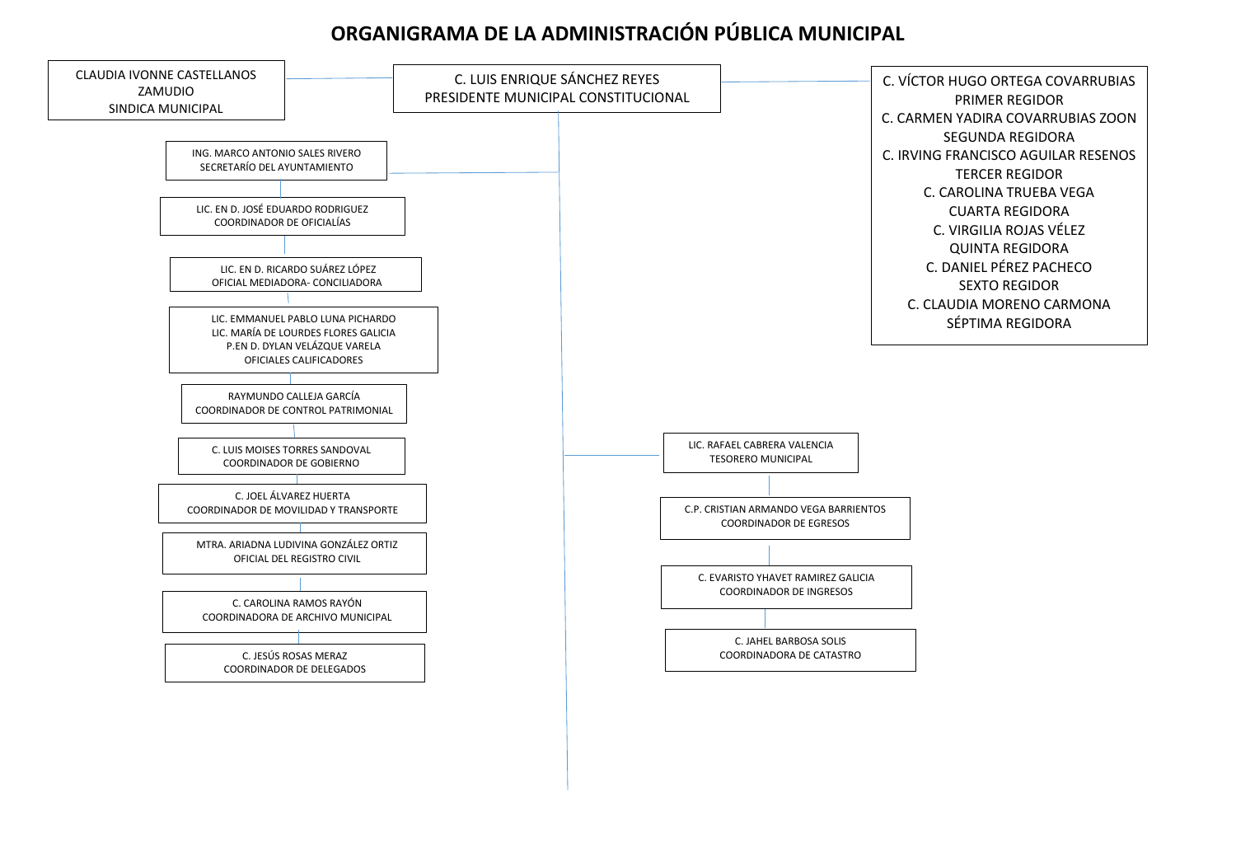## **ORGANIGRAMA DE LA ADMINISTRACIÓN PÚBLICA MUNICIPAL**

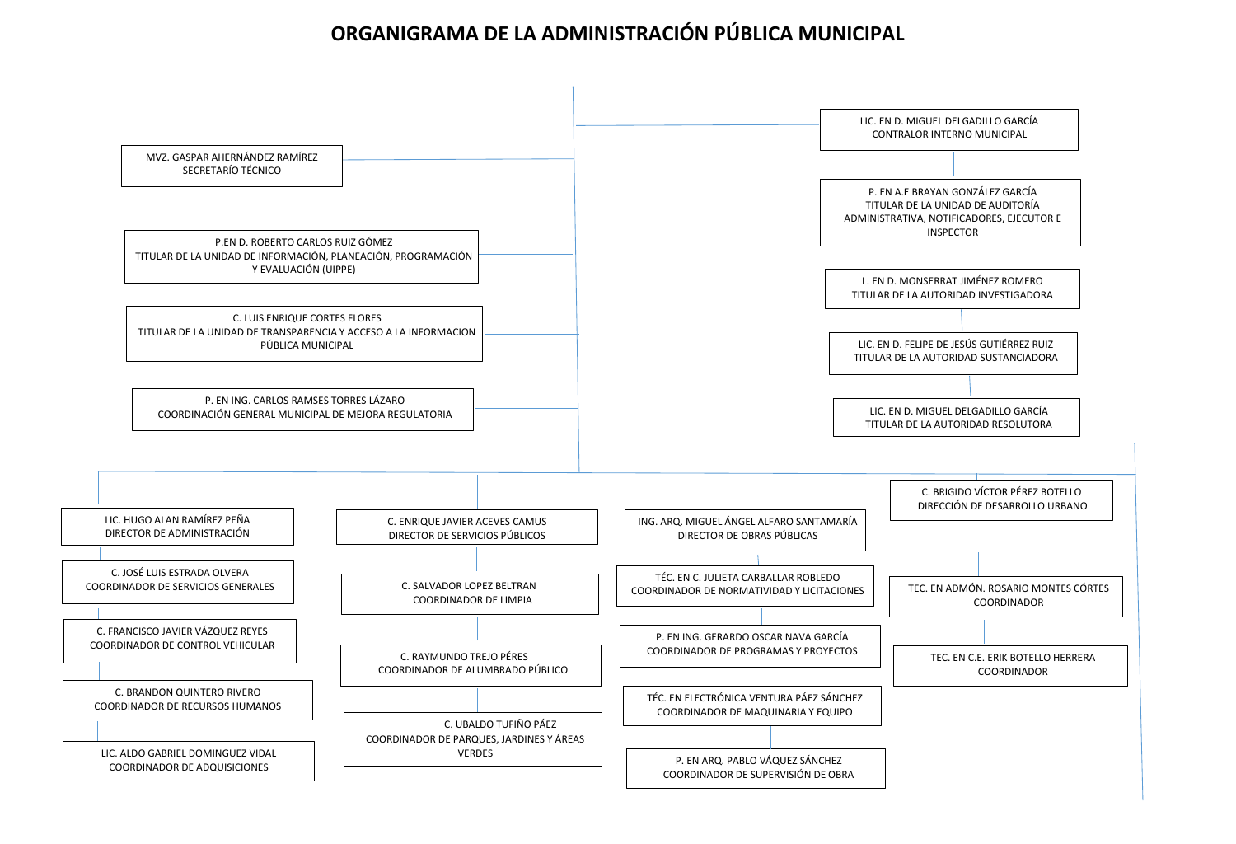## **ORGANIGRAMA DE LA ADMINISTRACIÓN PÚBLICA MUNICIPAL**

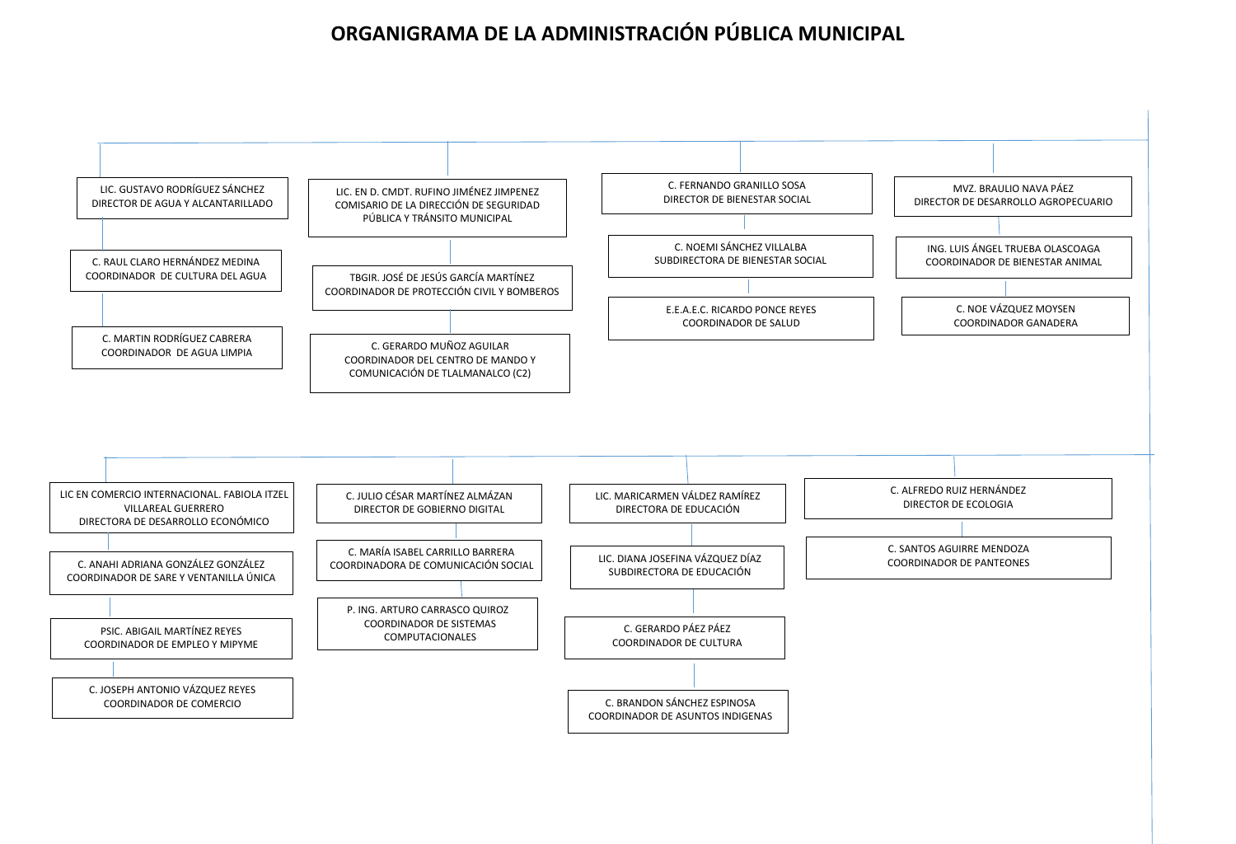## **ORGANIGRAMA DE LA ADMINISTRACIÓN PÚBLICA MUNICIPAL**